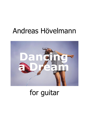## Andreas Hövelmann



## for guitar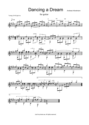Dancing a Dream Andreas Hövelmann



for guitar













Just for private use. All rights reserved.